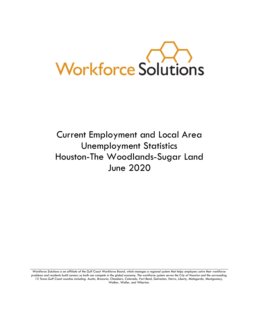

# Current Employment and Local Area Unemployment Statistics Houston-The Woodlands-Sugar Land June 2020

Workforce Solutions is an affiliate of the Gulf Coast Workforce Board, which manages a regional system that helps employers solve their workforce *problems and residents build careers so both can compete in the global economy. The workforce system serves the City of Houston and the surrounding 13 Texas Gulf Coast counties including: Austin, Brazoria, Chambers, Colorado, Fort Bend, Galveston, Harris, Liberty, Matagorda, Montgomery, Walker, Waller, and Wharton.*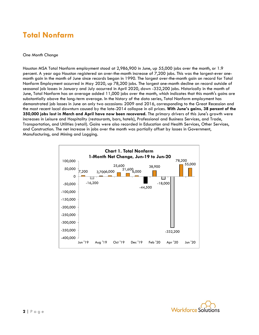### **Total Nonfarm**

#### *One Month Change*

Houston MSA Total Nonfarm employment stood at 2,986,900 in June, up 55,000 jobs over the month, or 1.9 percent. A year ago Houston registered an over-the-month increase of 7,200 jobs. This was the largest-ever onemonth gain in the month of June since records began in 1990. The largest over-the-month gain on record for Total Nonfarm Employment occurred in May 2020, up 78,200 jobs. The largest one-month decline on record outside of seasonal job losses in January and July occurred in April 2020, down -332,200 jobs. Historically in the month of June, Total Nonfarm has on average added 11,000 jobs over the month, which indicates that this month's gains are substantially above the long-term average. In the history of the data series, Total Nonfarm employment has demonstrated job losses in June on only two occasions: 2009 and 2016, corresponding to the Great Recession and the most recent local downturn caused by the late-2014 collapse in oil prices. **With June's gains, 38 percent of the 350,000 jobs lost in March and April have now been recovered.** The primary drivers of this June's growth were increases in Leisure and Hospitality (restaurants, bars, hotels), Professional and Business Services, and Trade, Transportation, and Utilities (retail). Gains were also recorded in Education and Health Services, Other Services, and Construction. The net increase in jobs over the month was partially offset by losses in Government, Manufacturing, and Mining and Logging.



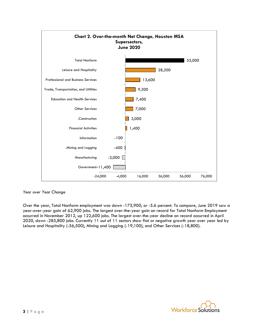

#### *Year over Year Change*

Over the year, Total Nonfarm employment was down -175,900, or -5.6 percent. To compare, June 2019 saw a year-over-year gain of 62,900 jobs. The largest over-the-year gain on record for Total Nonfarm Employment occurred in November 2012, up 122,600 jobs. The largest over-the-year decline on record occurred in April 2020, down -285,800 jobs. Currently 11 out of 11 sectors show flat or negative growth year over year led by Leisure and Hospitality (-56,500), Mining and Logging (-19,100), and Other Services (-18,800).

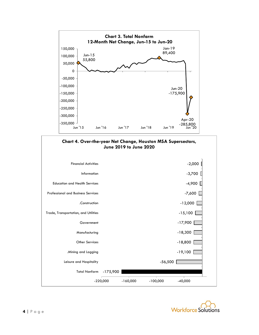



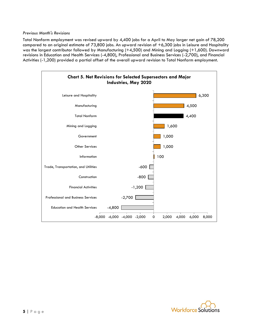Total Nonfarm employment was revised upward by 4,400 jobs for a April to May larger net gain of 78,200 compared to an original estimate of 73,800 jobs. An upward revision of +6,300 jobs in Leisure and Hospitality was the largest contributor followed by Manufacturing (+4,500) and Mining and Logging (+1,600). Downward revisions in Education and Health Services (-4,800), Professional and Business Services (-2,700), and Financial Activities (-1,200) provided a partial offset of the overall upward revision to Total Nonfarm employment.



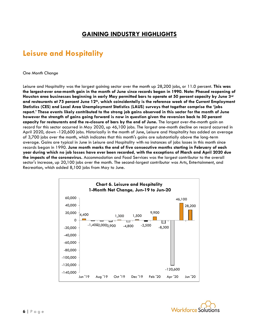### **GAINING INDUSTRY HIGHLIGHTS**

### **Leisure and Hospitality**

#### *One Month Change*

Leisure and Hospitality was the largest gaining sector over the month up 28,200 jobs, or 11.0 percent. **This was the largest-ever one-month gain in the month of June since records began in 1990. Note: Phased reopening of Houston area businesses beginning in early May permitted bars to operate at 50 percent capacity by June 3rd and restaurants at 75 percent June 12th, which coincidentally is the reference week of the Current Employment Statistics (CES) and Local Area Unemployment Statistics (LAUS) surveys that together comprise the 'jobs report.' These events likely contributed to the strong job gains observed in this sector for the month of June however the strength of gains going forward is now in question given the reversion back to 50 percent capacity for restaurants and the re-closure of bars by the end of June.** The largest over-the-month gain on record for this sector occurred in May 2020, up 46,100 jobs. The largest one-month decline on record occurred in April 2020, down -120,600 jobs. Historically in the month of June, Leisure and Hospitality has added an average of 3,700 jobs over the month, which indicates that this month's gains are substantially above the long-term average. Gains are typical in June in Leisure and Hospitality with no instances of jobs losses in this month since records began in 1990. **June month marks the end of five consecutive months starting in February of each year during which no job losses have ever been recorded, with the exceptions of March and April 2020 due the impacts of the coronavirus.** Accommodation and Food Services was the largest contributor to the overall sector's increase, up 20,100 jobs over the month. The second-largest contributor was Arts, Entertainment, and Recreation, which added 8,100 jobs from May to June.



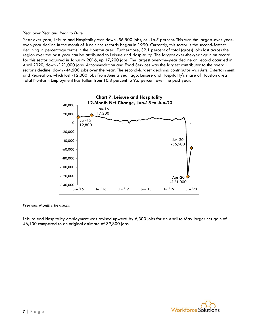#### *Year over Year and Year to Date*

Year over year, Leisure and Hospitality was down -56,500 jobs, or -16.5 percent. This was the largest-ever yearover-year decline in the month of June since records began in 1990. Currently, this sector is the second-fastest declining in percentage terms in the Houston area. Furthermore, 32.1 percent of total (gross) jobs lost across the region over the past year can be attributed to Leisure and Hospitality. The largest over-the-year gain on record for this sector occurred in January 2016, up 17,200 jobs. The largest over-the-year decline on record occurred in April 2020, down -121,000 jobs. Accommodation and Food Services was the largest contributor to the overall sector's decline, down -44,500 jobs over the year. The second-largest declining contributor was Arts, Entertainment, and Recreation, which lost -12,000 jobs from June a year ago. Leisure and Hospitality's share of Houston area Total Nonfarm Employment has fallen from 10.8 percent to 9.6 percent over the past year.



#### *Previous Month's Revisions*

Leisure and Hospitality employment was revised upward by 6,300 jobs for an April to May larger net gain of 46,100 compared to an original estimate of 39,800 jobs.

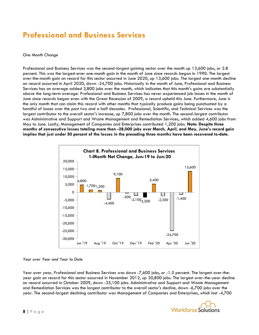### **Professional and Business Services**

#### *One Month Change*

Professional and Business Services was the second-largest gaining sector over the month up 13,600 jobs, or 2.8 percent. This was the largest-ever one-month gain in the month of June since records began in 1990. The largest over-the-month gain on record for this sector occurred in June 2020, up 13,600 jobs. The largest one-month decline on record occurred in April 2020, down -24,700 jobs. Historically in the month of June, Professional and Business Services has on average added 3,800 jobs over the month, which indicates that this month's gains are substantially above the long-term average. Professional and Business Services has never experienced job losses in the month of June since records began even with the Great Recession of 2009, a record upheld this June. Furthermore, June is the only month that can claim this record with other months that typically produce gains being punctuated by a handful of losses over the past two and a half decades. Professional, Scientific, and Technical Services was the largest contributor to the overall sector's increase, up 7,800 jobs over the month. The second-largest contributor was Administrative and Support and Waste Management and Remediation Services, which added 4,600 jobs from May to June. Lastly, Management of Companies and Enterprises contributed 1,200 jobs. **Note: Despite three months of consecutive losses totaling more than -28,000 jobs over March, April, and May, June's record gain implies that just under 50 percent of the losses in the preceding three months have been recovered to-date.**



*Year over Year and Year to Date*

Year over year, Professional and Business Services was down -7,600 jobs, or -1.5 percent. The largest over-theyear gain on record for this sector occurred in November 2012, up 30,800 jobs. The largest over-the-year decline on record occurred in October 2009, down -35,100 jobs. Administrative and Support and Waste Management and Remediation Services was the largest contributor to the overall sector's decline, down -6,700 jobs over the year. The second-largest declining contributor was Management of Companies and Enterprises, which lost -4,700

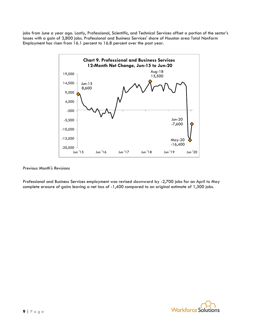jobs from June a year ago. Lastly, Professional, Scientific, and Technical Services offset a portion of the sector's losses with a gain of 3,800 jobs. Professional and Business Services' share of Houston area Total Nonfarm Employment has risen from 16.1 percent to 16.8 percent over the past year.



#### *Previous Month's Revisions*

Professional and Business Services employment was revised downward by -2,700 jobs for an April to May complete erasure of gains leaving a net loss of -1,400 compared to an original estimate of 1,300 jobs.

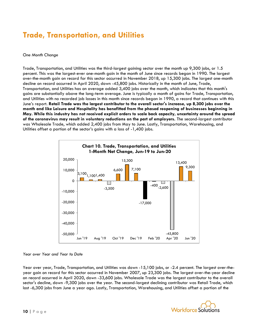## **Trade, Transportation, and Utilities**

#### *One Month Change*

Trade, Transportation, and Utilities was the third-largest gaining sector over the month up 9,300 jobs, or 1.5 percent. This was the largest-ever one-month gain in the month of June since records began in 1990. The largest over-the-month gain on record for this sector occurred in November 2018, up 15,300 jobs. The largest one-month decline on record occurred in April 2020, down -45,800 jobs. Historically in the month of June, Trade, Transportation, and Utilities has on average added 3,400 jobs over the month, which indicates that this month's gains are substantially above the long-term average. June is typically a month of gains for Trade, Transportation, and Utilities with no recorded job losses in this month since records began in 1990, a record that continues with this June's report. **Retail Trade was the largest contributor to the overall sector's increase, up 8,300 jobs over the month and like Leisure and Hospitality has benefitted from the phased reopening of businesses beginning in May. While this industry has not received explicit orders to scale back capacity, uncertainty around the spread of the coronavirus may result in voluntary reductions on the part of employers.** The second-largest contributor was Wholesale Trade, which added 2,400 jobs from May to June. Lastly, Transportation, Warehousing, and Utilities offset a portion of the sector's gains with a loss of -1,400 jobs.



#### *Year over Year and Year to Date*

Year over year, Trade, Transportation, and Utilities was down -15,100 jobs, or -2.4 percent. The largest over-theyear gain on record for this sector occurred in November 2007, up 23,300 jobs. The largest over-the-year decline on record occurred in April 2020, down -33,600 jobs. Wholesale Trade was the largest contributor to the overall sector's decline, down -9,300 jobs over the year. The second-largest declining contributor was Retail Trade, which lost -6,300 jobs from June a year ago. Lastly, Transportation, Warehousing, and Utilities offset a portion of the

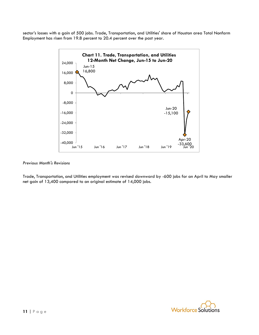sector's losses with a gain of 500 jobs. Trade, Transportation, and Utilities' share of Houston area Total Nonfarm Employment has risen from 19.8 percent to 20.4 percent over the past year.



#### *Previous Month's Revisions*

Trade, Transportation, and Utilities employment was revised downward by -600 jobs for an April to May smaller net gain of 13,400 compared to an original estimate of 14,000 jobs.

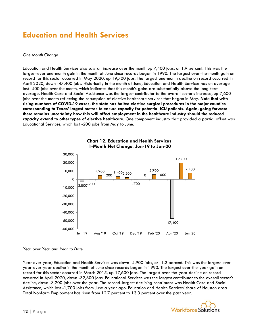### **Education and Health Services**

#### *One Month Change*

Education and Health Services also saw an increase over the month up 7,400 jobs, or 1.9 percent. This was the largest-ever one-month gain in the month of June since records began in 1990. The largest over-the-month gain on record for this sector occurred in May 2020, up 19,700 jobs. The largest one-month decline on record occurred in April 2020, down -47,400 jobs. Historically in the month of June, Education and Health Services has on average lost -400 jobs over the month, which indicates that this month's gains are substantially above the long-term average. Health Care and Social Assistance was the largest contributor to the overall sector's increase, up 7,600 jobs over the month reflecting the resumption of elective healthcare services that began in May. **Note that with rising numbers of COVID-19 cases, the state has halted elective surgical procedures in the major counties corresponding to Texas' largest metros to ensure capacity for potential ICU patients. Again, going forward there remains uncertainty how this will affect employment in the healthcare industry should the reduced capacity extend to other types of elective healthcare.** One component industry that provided a partial offset was Educational Services, which lost -200 jobs from May to June.



#### *Year over Year and Year to Date*

Year over year, Education and Health Services was down -4,900 jobs, or -1.2 percent. This was the largest-ever year-over-year decline in the month of June since records began in 1990. The largest over-the-year gain on record for this sector occurred in March 2015, up 17,600 jobs. The largest over-the-year decline on record occurred in April 2020, down -32,800 jobs. Educational Services was the largest contributor to the overall sector's decline, down -3,200 jobs over the year. The second-largest declining contributor was Health Care and Social Assistance, which lost -1,700 jobs from June a year ago. Education and Health Services' share of Houston area Total Nonfarm Employment has risen from 12.7 percent to 13.3 percent over the past year.

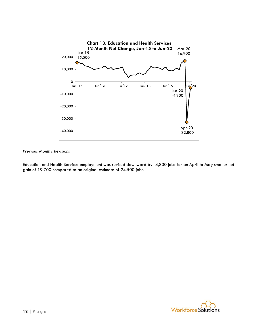

Education and Health Services employment was revised downward by -4,800 jobs for an April to May smaller net gain of 19,700 compared to an original estimate of 24,500 jobs.

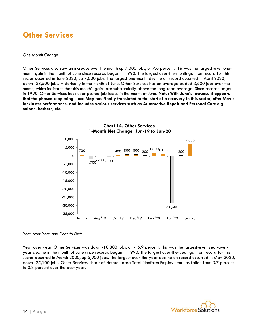### **Other Services**

#### *One Month Change*

Other Services also saw an increase over the month up 7,000 jobs, or 7.6 percent. This was the largest-ever onemonth gain in the month of June since records began in 1990. The largest over-the-month gain on record for this sector occurred in June 2020, up 7,000 jobs. The largest one-month decline on record occurred in April 2020, down -28,500 jobs. Historically in the month of June, Other Services has on average added 3,600 jobs over the month, which indicates that this month's gains are substantially above the long-term average. Since records began in 1990, Other Services has never posted job losses in the month of June. **Note: With June's increase it appears that the phased reopening since May has finally translated to the start of a recovery in this sector, after May's lackluster performance, and includes various services such as Automotive Repair and Personal Care e.g. salons, barbers, etc.**



*Year over Year and Year to Date*

Year over year, Other Services was down -18,800 jobs, or -15.9 percent. This was the largest-ever year-overyear decline in the month of June since records began in 1990. The largest over-the-year gain on record for this sector occurred in March 2020, up 5,900 jobs. The largest over-the-year decline on record occurred in May 2020, down -25,100 jobs. Other Services' share of Houston area Total Nonfarm Employment has fallen from 3.7 percent to 3.3 percent over the past year.

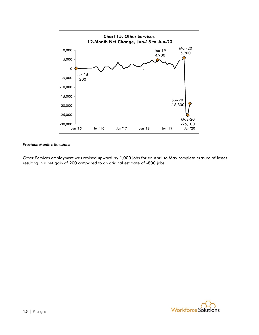

Other Services employment was revised upward by 1,000 jobs for an April to May complete erasure of losses resulting in a net gain of 200 compared to an original estimate of -800 jobs.

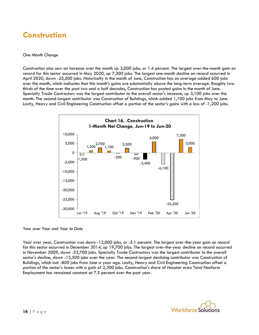### **Construction**

#### *One Month Change*

Construction also saw an increase over the month up 3,000 jobs, or 1.4 percent. The largest over-the-month gain on record for this sector occurred in May 2020, up 7,300 jobs. The largest one-month decline on record occurred in April 2020, down -25,200 jobs. Historically in the month of June, Construction has on average added 600 jobs over the month, which indicates that this month's gains are substantially above the long-term average. Roughly twothirds of the time over the past two and a half decades, Construction has posted gains in the month of June. Specialty Trade Contractors was the largest contributor to the overall sector's increase, up 3,100 jobs over the month. The second-largest contributor was Construction of Buildings, which added 1,100 jobs from May to June. Lastly, Heavy and Civil Engineering Construction offset a portion of the sector's gains with a loss of -1,200 jobs.



*Year over Year and Year to Date*

Year over year, Construction was down -12,000 jobs, or -5.1 percent. The largest over-the-year gain on record for this sector occurred in December 2014, up 19,700 jobs. The largest over-the-year decline on record occurred in November 2009, down -33,700 jobs. Specialty Trade Contractors was the largest contributor to the overall sector's decline, down -13,500 jobs over the year. The second-largest declining contributor was Construction of Buildings, which lost -800 jobs from June a year ago. Lastly, Heavy and Civil Engineering Construction offset a portion of the sector's losses with a gain of 2,300 jobs. Construction's share of Houston area Total Nonfarm Employment has remained constant at 7.5 percent over the past year.

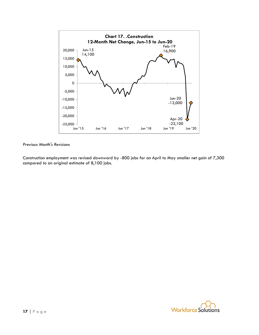

Construction employment was revised downward by -800 jobs for an April to May smaller net gain of 7,300 compared to an original estimate of 8,100 jobs.

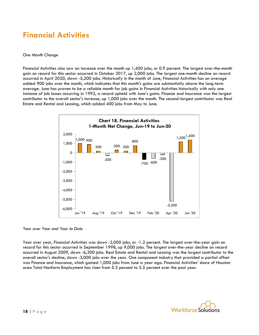### **Financial Activities**

#### *One Month Change*

Financial Activities also saw an increase over the month up 1,400 jobs, or 0.9 percent. The largest over-the-month gain on record for this sector occurred in October 2017, up 2,000 jobs. The largest one-month decline on record occurred in April 2020, down -5,200 jobs. Historically in the month of June, Financial Activities has on average added 900 jobs over the month, which indicates that this month's gains are substantially above the long-term average. June has proven to be a reliable month for job gains in Financial Activities historically with only one instance of job losses occurring in 1992, a record upheld with June's gains. Finance and Insurance was the largest contributor to the overall sector's increase, up 1,000 jobs over the month. The second-largest contributor was Real Estate and Rental and Leasing, which added 400 jobs from May to June.



*Year over Year and Year to Date*

Year over year, Financial Activities was down -2,000 jobs, or -1.2 percent. The largest over-the-year gain on record for this sector occurred in September 1998, up 9,000 jobs. The largest over-the-year decline on record occurred in August 2009, down -6,300 jobs. Real Estate and Rental and Leasing was the largest contributor to the overall sector's decline, down -3,000 jobs over the year. One component industry that provided a partial offset was Finance and Insurance, which gained 1,000 jobs from June a year ago. Financial Activities' share of Houston area Total Nonfarm Employment has risen from 5.3 percent to 5.5 percent over the past year.

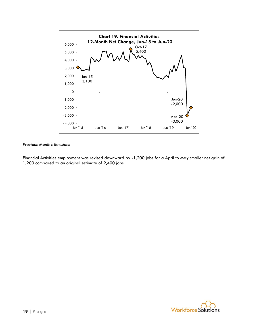

Financial Activities employment was revised downward by -1,200 jobs for a April to May smaller net gain of 1,200 compared to an original estimate of 2,400 jobs.

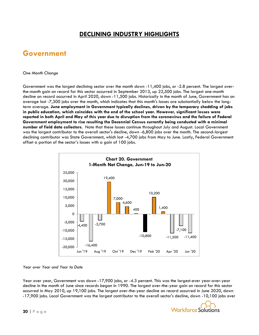### **DECLINING INDUSTRY HIGHLIGHTS**

### **Government**

#### *One Month Change*

Government was the largest declining sector over the month down -11,400 jobs, or -2.8 percent. The largest overthe-month gain on record for this sector occurred in September 2013, up 22,500 jobs. The largest one-month decline on record occurred in April 2020, down -11,500 jobs. Historically in the month of June, Government has on average lost -7,300 jobs over the month, which indicates that this month's losses are substantially below the longterm average. **June employment in Government typically declines, driven by the temporary shedding of jobs in public education, which coincides with the end of the school year. However, significant losses were reported in both April and May of this year due to disruption from the coronavirus and the failure of Federal Government employment to rise resulting the Decennial Census currently being conducted with a minimal number of field data collectors**. Note that these losses continue throughout July and August. Local Government was the largest contributor to the overall sector's decline, down -6,800 jobs over the month. The second-largest declining contributor was State Government, which lost -4,700 jobs from May to June. Lastly, Federal Government offset a portion of the sector's losses with a gain of 100 jobs.



#### *Year over Year and Year to Date*

Year over year, Government was down -17,900 jobs, or -4.3 percent. This was the largest-ever year-over-year decline in the month of June since records began in 1990. The largest over-the-year gain on record for this sector occurred in May 2010, up 19,100 jobs. The largest over-the-year decline on record occurred in June 2020, down -17,900 jobs. Local Government was the largest contributor to the overall sector's decline, down -10,100 jobs over

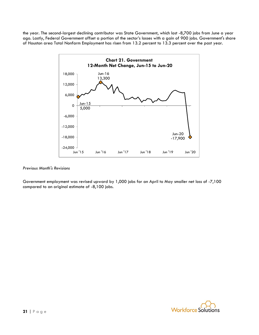the year. The second-largest declining contributor was State Government, which lost -8,700 jobs from June a year ago. Lastly, Federal Government offset a portion of the sector's losses with a gain of 900 jobs. Government's share of Houston area Total Nonfarm Employment has risen from 13.2 percent to 13.3 percent over the past year.



#### *Previous Month's Revisions*

Government employment was revised upward by 1,000 jobs for an April to May smaller net loss of -7,100 compared to an original estimate of -8,100 jobs.

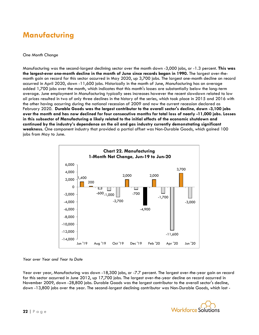### **Manufacturing**

#### *One Month Change*

Manufacturing was the second-largest declining sector over the month down -3,000 jobs, or -1.3 percent. **This was the largest-ever one-month decline in the month of June since records began in 1990.** The largest over-themonth gain on record for this sector occurred in May 2020, up 3,700 jobs. The largest one-month decline on record occurred in April 2020, down -11,600 jobs. Historically in the month of June, Manufacturing has on average added 1,700 jobs over the month, which indicates that this month's losses are substantially below the long-term average. June employment in Manufacturing typically sees increases however the recent slowdown related to low oil prices resulted in two of only three declines in the history of the series, which took place in 2015 and 2016 with the other having occurring during the national recession of 2009 and now the current recession declared as February 2020. **Durable Goods was the largest contributor to the overall sector's decline, down -3,100 jobs over the month and has now declined for four consecutive months for total loss of nearly -11,000 jobs. Losses in this subsector of Manufacturing a likely related to the initial effects of the economic shutdown and continued by the industry's dependence on the oil and gas industry currently demonstrating significant weakness.** One component industry that provided a partial offset was Non-Durable Goods, which gained 100 jobs from May to June.



#### *Year over Year and Year to Date*

Year over year, Manufacturing was down -18,300 jobs, or -7.7 percent. The largest over-the-year gain on record for this sector occurred in June 2012, up 17,700 jobs. The largest over-the-year decline on record occurred in November 2009, down -28,800 jobs. Durable Goods was the largest contributor to the overall sector's decline, down -13,800 jobs over the year. The second-largest declining contributor was Non-Durable Goods, which lost -

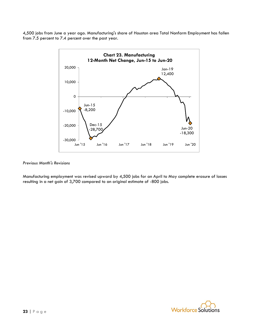4,500 jobs from June a year ago. Manufacturing's share of Houston area Total Nonfarm Employment has fallen from 7.5 percent to 7.4 percent over the past year.



#### *Previous Month's Revisions*

Manufacturing employment was revised upward by 4,500 jobs for an April to May complete erasure of losses resulting in a net gain of 3,700 compared to an original estimate of -800 jobs.

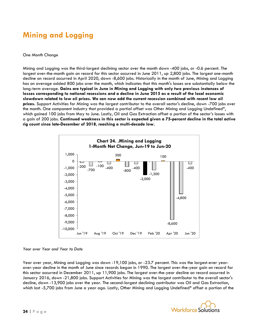## **Mining and Logging**

#### *One Month Change*

Mining and Logging was the third-largest declining sector over the month down -400 jobs, or -0.6 percent. The largest over-the-month gain on record for this sector occurred in June 2011, up 2,800 jobs. The largest one-month decline on record occurred in April 2020, down -8,600 jobs. Historically in the month of June, Mining and Logging has on average added 800 jobs over the month, which indicates that this month's losses are substantially below the long-term average. **Gains are typical in June in Mining and Logging with only two previous instances of losses corresponding to national recessions and a decline in June 2015 as a result of the local economic slowdown related to low oil prices. We can now add the current recession combined with recent low oil prices.** Support Activities for Mining was the largest contributor to the overall sector's decline, down -700 jobs over the month. One component industry that provided a partial offset was Other Mining and Logging Undefined\*, which gained 100 jobs from May to June. Lastly, Oil and Gas Extraction offset a portion of the sector's losses with a gain of 200 jobs. **Continued weakness in this sector is expected given a 75-percent decline in the total active rig count since late-December of 2018, reaching a multi-decade low.**



#### *Year over Year and Year to Date*

Year over year, Mining and Logging was down -19,100 jobs, or -23.7 percent. This was the largest-ever yearover-year decline in the month of June since records began in 1990. The largest over-the-year gain on record for this sector occurred in December 2011, up 11,900 jobs. The largest over-the-year decline on record occurred in January 2016, down -21,800 jobs. Support Activities for Mining was the largest contributor to the overall sector's decline, down -13,900 jobs over the year. The second-largest declining contributor was Oil and Gas Extraction, which lost -5,700 jobs from June a year ago. Lastly, Other Mining and Logging Undefined\* offset a portion of the

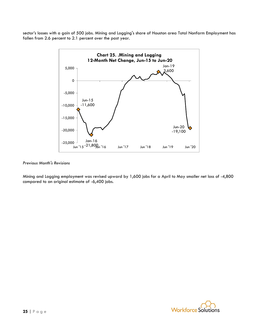sector's losses with a gain of 500 jobs. Mining and Logging's share of Houston area Total Nonfarm Employment has fallen from 2.6 percent to 2.1 percent over the past year.



#### *Previous Month's Revisions*

Mining and Logging employment was revised upward by 1,600 jobs for a April to May smaller net loss of -4,800 compared to an original estimate of -6,400 jobs.

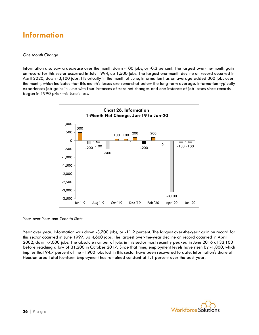### **Information**

#### *One Month Change*

Information also saw a decrease over the month down -100 jobs, or -0.3 percent. The largest over-the-month gain on record for this sector occurred in July 1994, up 1,500 jobs. The largest one-month decline on record occurred in April 2020, down -3,100 jobs. Historically in the month of June, Information has on average added 300 jobs over the month, which indicates that this month's losses are somewhat below the long-term average. Information typically experiences job gains in June with four instances of zero net changes and one instance of job losses since records began in 1990 prior this June's loss.



*Year over Year and Year to Date*

Year over year, Information was down -3,700 jobs, or -11.2 percent. The largest over-the-year gain on record for this sector occurred in June 1997, up 4,600 jobs. The largest over-the-year decline on record occurred in April 2002, down -7,000 jobs. The absolute number of jobs in this sector most recently peaked in June 2016 at 33,100 before reaching a low of 31,200 in October 2017. Since that time, employment levels have risen by -1,800, which implies that 94.7 percent of the -1,900 jobs lost in this sector have been recovered to date. Information's share of Houston area Total Nonfarm Employment has remained constant at 1.1 percent over the past year.

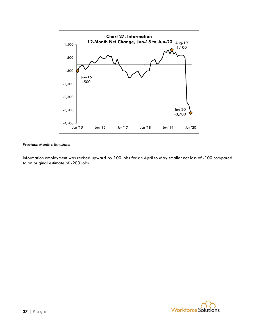

Information employment was revised upward by 100 jobs for an April to May smaller net loss of -100 compared to an original estimate of -200 jobs.

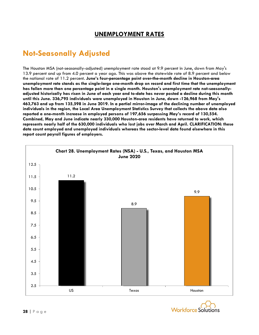### **UNEMPLOYMENT RATES**

### **Not-Seasonally Adjusted**

The Houston MSA (not-seasonally-adjusted) unemployment rate stood at 9.9 percent in June, down from May's 13.9 percent and up from 4.0 percent a year ago. This was above the statewide rate of 8.9 percent and below the national rate of 11.2 percent. **June's four-percentage point over-the-month decline in Houston-area unemployment rate stands as the single-large one-month drop on record and first time that the unemployment has fallen more than one percentage point in a single month. Houston's unemployment rate not-seasonallyadjusted historically has risen in June of each year and to-date has never posted a decline during this month until this June. 336,795 individuals were unemployed in Houston in June, down -126,968 from May's 463,763 and up from 135,598 in June 2019. In a partial mirror-image of the declining number of unemployed individuals in the region, the Local Area Unemployment Statistics Survey that collects the above data also reported a one-month increase in employed persons of 197,656 surpassing May's record of 130,554. Combined, May and June indicate nearly 330,000 Houston-area residents have returned to work, which represents nearly half of the 630,000 individuals who lost jobs over March and April. CLARIFICATION: these data count employed and unemployed individuals whereas the sector-level data found elsewhere in this report count payroll figures of employers.**



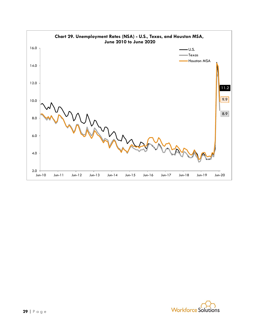

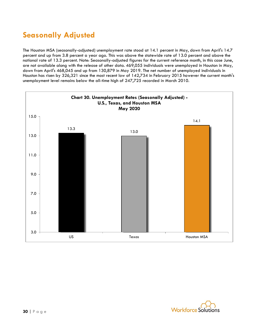## **Seasonally Adjusted**

The Houston MSA (seasonally-adjusted) unemployment rate stood at 14.1 percent in May, down from April's 14.7 percent and up from 3.8 percent a year ago. This was above the statewide rate of 13.0 percent and above the national rate of 13.3 percent. Note: Seasonally-adjusted figures for the current reference month, in this case June, are not available along with the release of other data. 469,055 individuals were unemployed in Houston in May, down from April's 468,045 and up from 130,879 in May 2019. The net number of unemployed individuals in Houston has risen by 326,321 since the most recent low of 142,734 in February 2015 however the current month's unemployment level remains below the all-time high of 247,725 recorded in March 2010.



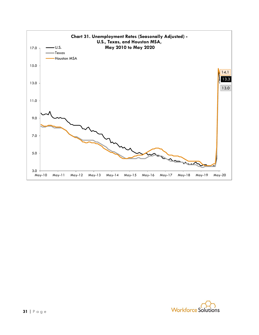

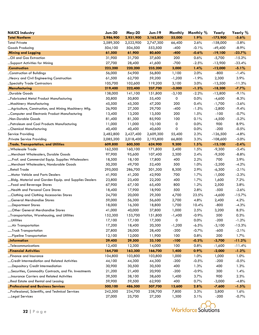| <b>NAICS Industry</b>                                 | <b>Jun-20</b>     | <b>May-20</b> | <b>Jun-19</b>     | Monthly        | Monthly %    | Yearly          | Yearly %        |
|-------------------------------------------------------|-------------------|---------------|-------------------|----------------|--------------|-----------------|-----------------|
| <b>Total Nonfarm</b>                                  | 2,986,900         | 2,931,900     | 3,162,800         | 55,000         | 1.9%         | $-175,900$      | $-5.6%$         |
| <b>Total Private</b>                                  | 2,589,300         | 2,522,900     | 2,747,300         | 66,400         | 2.6%         | $-158,000$      | $-5.8%$         |
| Goods Producing                                       | 504,100           | 504,500       | 553,500           | $-400$         | $-0.1%$      | $-49,400$       | $-8.9%$         |
| Mining and Logging                                    | 61,500            | 61,900        | 80,600            | $-400$         | $-0.6%$      | $-19,100$       | $-23.7%$        |
| Oil and Gas Extraction                                | 31,900            | 31,700        | 37,600            | 200            | 0.6%         | $-5,700$        | $-15.2%$        |
| Support Activities for Mining                         | 27,700            | 28,400        | 41,600            | $-700$         | $-2.5%$      | $-13,900$       | $-33.4%$        |
| .Construction                                         | 223,200           | 220,200       | 235,200           | 3,000          | 1.4%         | $-12,000$       | $-5.1%$         |
| Construction of Buildings                             | 56,000            | 54,900        | 56,800            | 1,100          | 2.0%         | $-800$          | $-1.4%$         |
| Heavy and Civil Engineering Construction              | 61,500            | 62,700        | 59,200            | $-1,200$       | $-1.9%$      | 2,300           | 3.9%            |
| Specialty Trade Contractors                           | 105,700           | 102,600       | 119,200           | 3,100          | 3.0%         | $-13,500$       | $-11.3%$        |
| .Manufacturing                                        | 219,400           | 222,400       | 237,700           | $-3,000$       | $-1.3%$      | $-18,300$       | $-7.7%$         |
| Durable Goods                                         | 138,000           | 141,100       | 151,800           | $-3,100$       | $-2.2%$      | $-13,800$       | $-9.1%$         |
| Fabricated Metal Product Manufacturing                | 50,800            | 50,800        | 55,400            | 0              | 0.0%         | $-4,600$        | $-8.3%$         |
| Machinery Manufacturing                               | 45,500            | 45,300        | 47,200            | 200            | 0.4%         | $-1,700$        | $-3.6%$         |
| Agriculture, Construction, and Mining Machinery Mfg.  | 26,900            | 27,300        | 29,700            | $-400$         | $-1.5%$      | $-2,800$        | $-9.4%$         |
| Computer and Electronic Product Manufacturing         | 13,400            | 13,200        | 13,500            | 200            | 1.5%         | $-100$          | $-0.7%$         |
| "Non-Durable Goods                                    | 81,400            | 81,300        | 85,900            | 100            | 0.1%         | $-4,500$        | $-5.2%$         |
| Petroleum and Coal Products Manufacturing             | 11,000            | 11,000        | 10,100            | 0              | 0.0%         | 900             | 8.9%            |
| Chemical Manufacturing                                | 40,400            | 40,400        | 40,600            | 0              | 0.0%         | $-200$          | $-0.5%$         |
| Service Providing                                     | 2,482,800         | 2,427,400     | 2,609,300         | 55,400         | 2.3%         | $-126,500$      | $-4.8%$         |
| .Private Service Providing                            | 2,085,200         | 2,018,400     | 2,193,800         | 66,800         | 3.3%         | $-108,600$      | $-5.0\%$        |
| Trade, Transportation, and Utilities                  | 609,800           | 600,500       | 624,900           | 9,300          | 1.5%         | $-15,100$       | $-2.4%$         |
| Wholesale Trade                                       | 162,500           | 160,100       | 171,800           | 2,400          | 1.5%         | $-9,300$        | $-5.4%$         |
| Merchant Wholesalers, Durable Goods                   | 97,900            | 95,600        | 107,400           | 2,300          | 2.4%         | $-9,500$        | $-8.8%$         |
| Prof. and Commercial Equip. Supplies Wholesalers      | 18,500            | 18,100        | 17,800            | 400            | 2.2%         | 700             | 3.9%            |
| Merchant Wholesalers, Nondurable Goods                | 50,200            | 49,700        | 52,400            | 500            | 1.0%         | $-2,200$        | $-4.2%$         |
| Retail Trade                                          | 295,000           | 286,700       | 301,300           | 8,300          | 2.9%         | $-6,300$        | $-2.1%$         |
| Motor Vehicle and Parts Dealers                       | 41,900            | 41,200        | 42,900            | 700            | 1.7%         | $-1,000$        | $-2.3%$         |
| Bldg. Material and Garden Equip. and Supplies Dealers | 23,800            | 23,400        | 22,200            | 400            | 1.7%         | 1,600           | 7.2%            |
| Food and Beverage Stores                              | 67,900            | 67,100        | 65,400            | 800            | 1.2%         | 2,500           | 3.8%            |
| Health and Personal Care Stores                       | 18,400            | 17,900        | 18,900            | 500            | 2.8%         | $-500$          | $-2.6%$         |
| Clothing and Clothing Accessories Stores              | 24,700            | 20,000        | 29,300            | 4,700          | 23.5%        | $-4,600$        | $-15.7%$        |
| General Merchandise Stores                            | 59,000            | 56,300        | 56,600            | 2,700          | 4.8%         | 2,400           | 4.2%            |
| Department Stores                                     | 18,000            | 16,300        | 18,800            | 1,700          | 10.4%        | $-800$          | $-4.3%$         |
| Other General Merchandise Stores                      | 41,000            | 40,000        | 37,800            | 1,000          | 2.5%         | 3,200           | 8.5%            |
| Transportation, Warehousing, and Utilities            | 152,300           | 153,700       | 151,800           | $-1,400$       | $-0.9%$      | 500             | 0.3%            |
| …Utilities                                            | 17,100            | 17,100        | 17,300            | $\circ$        | 0.0%         | $-200$          | $-1.2%$         |
| Air Transportation                                    | 17,200            | 18,400        | 20,300            | $-1,200$       | $-6.5%$      | $-3,100$        | $-15.3%$        |
| Truck Transportation                                  | 27,800            | 28,000        | 28,400            | $-200$         | $-0.7%$      | $-600$          | $-2.1%$         |
| Pipeline Transportation                               | 12,100            | 12,000        | 11,900            | 100            | 0.8%         | 200             | 1.7%            |
| Information                                           | 29,400            | 29,500        | 33,100            | $-100$         | $-0.3%$      | $-3,700$        | $-11.2%$        |
| Telecommunications                                    | 12,400            | 12,300        | 14,000            | 100            | 0.8%         | $-1,600$        | $-11.4%$        |
| Financial Activities                                  | 164,700           | 163,300       | 166,700           | 1,400          | $0.9\%$      | $-2,000$        | $-1.2%$         |
| Finance and Insurance                                 | 104,800           | 103,800       | 103,800           | 1,000          | 1.0%         | 1,000           | 1.0%            |
| Credit Intermediation and Related Activities          | 44,100            | 44,300        | 44,300            | $-200$         | $-0.5%$      | $-200$          | $-0.5%$         |
| Depository Credit Intermediation                      | 30,900            | 30,500        | 30,500            | 400            | 1.3%         | 400             | 1.3%            |
| Securities, Commodity Contracts, and Fin. Investments | 21,200            | 21,400        | 20,900            | $-200$         | $-0.9%$      | 300             | 1.4%            |
| Insurance Carriers and Related Activities             | 39,500            | 38,100        | 38,600            | 1,400          | 3.7%         | 900             | 2.3%            |
| Real Estate and Rental and Leasing                    | 59,900            | 59,500        | 62,900            | 400            | 0.7%         | $-3,000$        | $-4.8%$         |
| Professional and Business Services                    | 500,100           | 486,500       | 507,700           | 13,600         | 2.8%         | $-7,600$        | $-1.5%$         |
| Professional, Scientific, and Technical Services      | 242,500<br>27,000 | 234,700       | 238,700<br>27,200 | 7,800<br>1,300 | 3.3%<br>5.1% | 3,800<br>$-200$ | 1.6%<br>$-0.7%$ |
| Legal Services                                        |                   | 25,700        |                   |                |              |                 |                 |